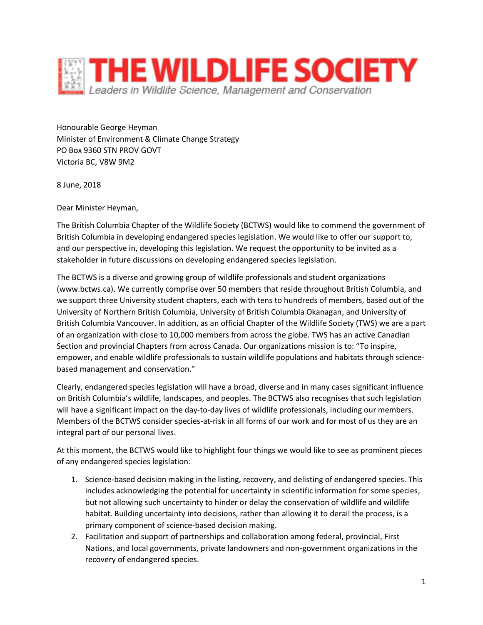

Honourable George Heyman Minister of Environment & Climate Change Strategy PO Box 9360 STN PROV GOVT Victoria BC, V8W 9M2

8 June, 2018

Dear Minister Heyman,

The British Columbia Chapter of the Wildlife Society (BCTWS) would like to commend the government of British Columbia in developing endangered species legislation. We would like to offer our support to, and our perspective in, developing this legislation. We request the opportunity to be invited as a stakeholder in future discussions on developing endangered species legislation.

The BCTWS is a diverse and growing group of wildlife professionals and student organizations (www.bctws.ca). We currently comprise over 50 members that reside throughout British Columbia, and we support three University student chapters, each with tens to hundreds of members, based out of the University of Northern British Columbia, University of British Columbia Okanagan, and University of British Columbia Vancouver. In addition, as an official Chapter of the Wildlife Society (TWS) we are a part of an organization with close to 10,000 members from across the globe. TWS has an active Canadian Section and provincial Chapters from across Canada. Our organizations mission is to: "To inspire, empower, and enable wildlife professionals to sustain wildlife populations and habitats through sciencebased management and conservation."

Clearly, endangered species legislation will have a broad, diverse and in many cases significant influence on British Columbia's wildlife, landscapes, and peoples. The BCTWS also recognises that such legislation will have a significant impact on the day-to-day lives of wildlife professionals, including our members. Members of the BCTWS consider species-at-risk in all forms of our work and for most of us they are an integral part of our personal lives.

At this moment, the BCTWS would like to highlight four things we would like to see as prominent pieces of any endangered species legislation:

- 1. Science-based decision making in the listing, recovery, and delisting of endangered species. This includes acknowledging the potential for uncertainty in scientific information for some species, but not allowing such uncertainty to hinder or delay the conservation of wildlife and wildlife habitat. Building uncertainty into decisions, rather than allowing it to derail the process, is a primary component of science-based decision making.
- 2. Facilitation and support of partnerships and collaboration among federal, provincial, First Nations, and local governments, private landowners and non-government organizations in the recovery of endangered species.